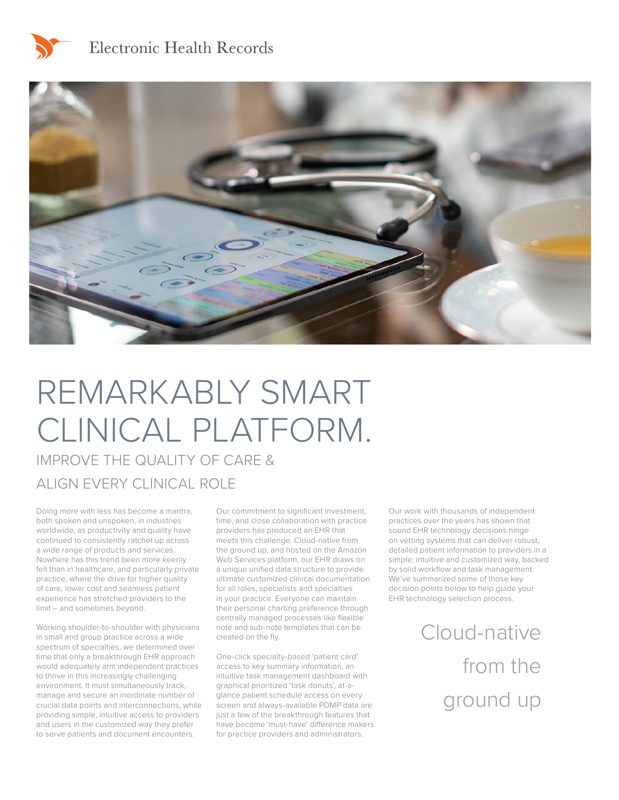

# Electronic Health Records



# REMARKABLY SMART CLINICAL PLATFORM.

IMPROVE THE QUALITY OF CARE & ALIGN EVERY CLINICAL ROLE

Doing more with less has become a mantra, both spoken and unspoken, in industries worldwide, as productivity and quality have continued to consistently ratchet up across a wide range of products and services. Nowhere has this trend been more keenly felt than in healthcare, and particularly private practice, where the drive for higher quality of care, lower cost and seamless patient experience has stretched providers to the limit – and sometimes beyond.

Working shoulder-to-shoulder with physicians in small and group practice across a wide spectrum of specialties, we determined over time that only a breakthrough EHR approach would adequately arm independent practices to thrive in this increasingly challenging environment. It must simultaneously track, manage and secure an inordinate number of crucial data points and interconnections, while providing simple, intuitive access to providers and users in the customized way they prefer to serve patients and document encounters.

Our commitment to significant investment, time, and close collaboration with practice providers has produced an EHR that meets this challenge. Cloud-native from the ground up, and hosted on the Amazon Web Services platform, our EHR draws on a unique unified data structure to provide ultimate customized clinical documentation for all roles, specialists and specialties in your practice. Everyone can maintain their personal charting preference through centrally managed processes like flexible note and sub-note templates that can be created on the fly.

One-click specialty-based 'patient card' access to key summary information, an intuitive task management dashboard with graphical prioritized 'task donuts', at-aglance patient schedule access on every screen and always-available PDMP data are just a few of the breakthrough features that have become 'must-have' difference makers for practice providers and administrators.

Our work with thousands of independent practices over the years has shown that sound EHR technology decisions hinge on vetting systems that can deliver robust, detailed patient information to providers in a simple, intuitive and customized way, backed by solid workflow and task management. We've summarized some of those key decision points below to help guide your EHR technology selection process.

> Cloud-native from the ground up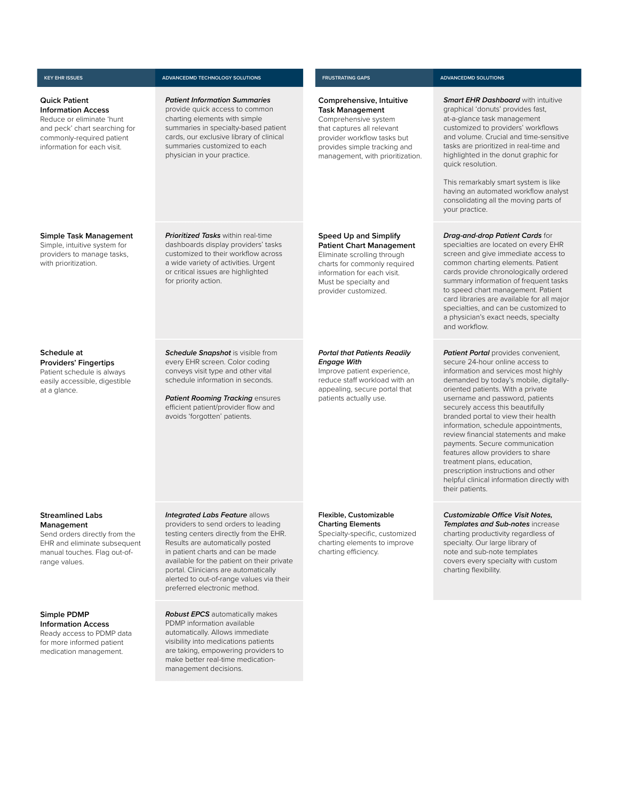#### **Quick Patient Information Access**

Reduce or eliminate 'hunt and peck' chart searching for commonly-required patient information for each visit.

#### **Simple Task Management**

Simple, intuitive system for providers to manage tasks, with prioritization.

#### **Schedule at Providers' Fingertips**  Patient schedule is always

easily accessible, digestible at a glance.

## **Streamlined Labs Management**

Send orders directly from the EHR and eliminate subsequent manual touches. Flag out-ofrange values.

## **Simple PDMP Information Access**

Ready access to PDMP data for more informed patient medication management.

#### **KEY EHR ISSUES ADVANCEDMD TECHNOLOGY SOLUTIONS FRUSTRATING GAPS ADVANCEDMD SOLUTIONS**

*Patient Information Summaries*  provide quick access to common charting elements with simple summaries in specialty-based patient cards, our exclusive library of clinical summaries customized to each physician in your practice.

*Prioritized Tasks* within real-time dashboards display providers' tasks customized to their workflow across a wide variety of activities. Urgent or critical issues are highlighted for priority action.

#### **Schedule Snapshot** is visible from every EHR screen. Color coding conveys visit type and other vital schedule information in seconds.

*Patient Rooming Tracking ensures* efficient patient/provider flow and avoids 'forgotten' patients.

## **Comprehensive, Intuitive Task Management**  Comprehensive system

that captures all relevant provider workflow tasks but provides simple tracking and management, with prioritization.

## **Speed Up and Simplify**

**Patient Chart Management** Eliminate scrolling through charts for commonly required information for each visit. Must be specialty and provider customized.

#### *Portal that Patients Readily Engage With*

Improve patient experience, reduce staff workload with an appealing, secure portal that patients actually use.

at-a-glance task management customized to providers' workflows and volume. Crucial and time-sensitive tasks are prioritized in real-time and highlighted in the donut graphic for quick resolution. This remarkably smart system is like

*Smart EHR Dashboard* with intuitive graphical 'donuts' provides fast,

having an automated workflow analyst consolidating all the moving parts of your practice.

#### *Drag-and-drop Patient Cards* for specialties are located on every EHR screen and give immediate access to common charting elements. Patient cards provide chronologically ordered summary information of frequent tasks to speed chart management. Patient card libraries are available for all major specialties, and can be customized to a physician's exact needs, specialty and workflow.

**Patient Portal** provides convenient, secure 24-hour online access to information and services most highly demanded by today's mobile, digitallyoriented patients. With a private username and password, patients securely access this beautifully branded portal to view their health information, schedule appointments, review financial statements and make payments. Secure communication features allow providers to share treatment plans, education, prescription instructions and other helpful clinical information directly with their patients.

#### *Customizable Office Visit Notes, Templates and Sub-notes* increase

charting productivity regardless of specialty. Our large library of note and sub-note templates covers every specialty with custom charting flexibility.

*Robust EPCS* automatically makes PDMP information available automatically. Allows immediate visibility into medications patients are taking, empowering providers to make better real-time medicationmanagement decisions.

Results are automatically posted in patient charts and can be made available for the patient on their private portal. Clinicians are automatically alerted to out-of-range values via their preferred electronic method.

**Charting Elements** Specialty-specific, customized charting elements to improve charting efficiency.

# **Integrated Labs Feature allows** providers to send orders to leading testing centers directly from the EHR.

**Flexible, Customizable**